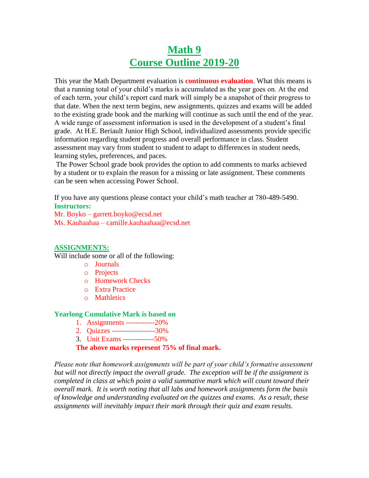# **Math 9 Course Outline 2019-20**

This year the Math Department evaluation is **continuous evaluation**. What this means is that a running total of your child's marks is accumulated as the year goes on. At the end of each term, your child's report card mark will simply be a snapshot of their progress to that date. When the next term begins, new assignments, quizzes and exams will be added to the existing grade book and the marking will continue as such until the end of the year. A wide range of assessment information is used in the development of a student's final grade. At H.E. Beriault Junior High School, individualized assessments provide specific information regarding student progress and overall performance in class. Student assessment may vary from student to student to adapt to differences in student needs, learning styles, preferences, and paces.

The Power School grade book provides the option to add comments to marks achieved by a student or to explain the reason for a missing or late assignment. These comments can be seen when accessing Power School.

If you have any questions please contact your child's math teacher at 780-489-5490. **Instructors:**

Mr. Boyko – garrett.boyko@ecsd.net Ms. Kauhaahaa – camille.kauhaahaa@ecsd.net

#### **ASSIGNMENTS:**

Will include some or all of the following:

- o Journals
- o Projects
- o Homework Checks
- o Extra Practice
- o Mathletics

#### **Yearlong Cumulative Mark is based on**

- 1. Assignments ------------20%
- 2. Quizzes ------------------30%
- 3. Unit Exams -------------50%

**The above marks represent 75% of final mark.**

*Please note that homework assignments will be part of your child's formative assessment but will not directly impact the overall grade. The exception will be if the assignment is completed in class at which point a valid summative mark which will count toward their overall mark. It is worth noting that all labs and homework assignments form the basis of knowledge and understanding evaluated on the quizzes and exams. As a result, these assignments will inevitably impact their mark through their quiz and exam results.*